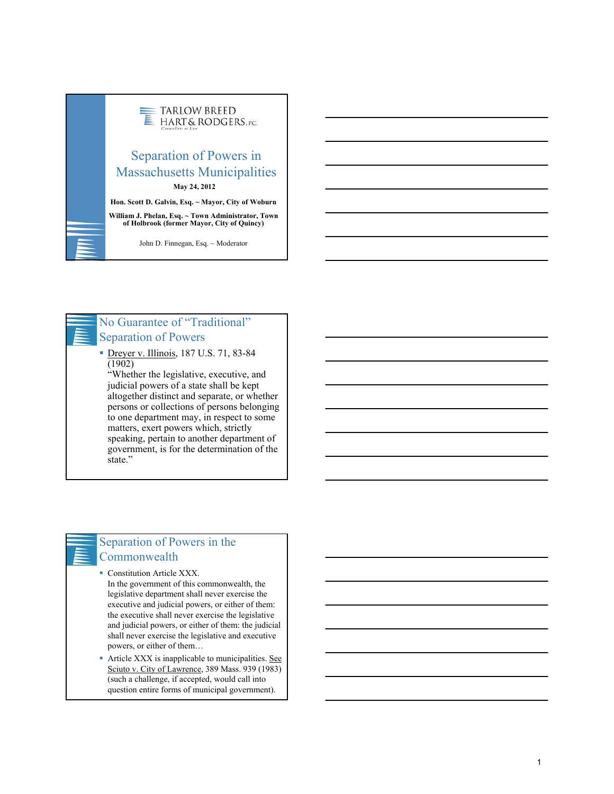

# No Guarantee of "Traditional" Separation of Powers

 Dreyer v. Illinois, 187 U.S. 71, 83-84  $(1902)$ 

"Whether the legislative, executive, and judicial powers of a state shall be kept altogether distinct and separate, or whether persons or collections of persons belonging to one department may, in respect to some matters, exert powers which, strictly speaking, pertain to another department of government, is for the determination of the state."

# Separation of Powers in the Commonwealth

**Constitution Article XXX.** In the government of this commonwealth, the legislative department shall never exercise the executive and judicial powers, or either of them: the executive shall never exercise the legislative and judicial powers, or either of them: the judicial shall never exercise the legislative and executive powers, or either of them…

 Article XXX is inapplicable to municipalities. See Sciuto v. City of Lawrence, 389 Mass. 939 (1983) (such a challenge, if accepted, would call into question entire forms of municipal government).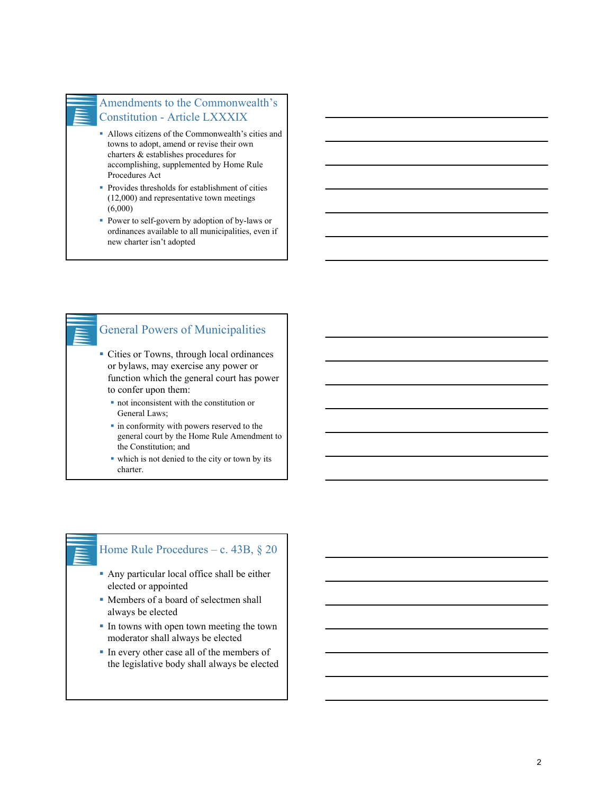## Amendments to the Commonwealth's Constitution - Article LXXXIX

- Allows citizens of the Commonwealth's cities and towns to adopt, amend or revise their own charters & establishes procedures for accomplishing, supplemented by Home Rule Procedures Act
- **Provides thresholds for establishment of cities** (12,000) and representative town meetings (6,000)
- Power to self-govern by adoption of by-laws or ordinances available to all municipalities, even if new charter isn't adopted

# General Powers of Municipalities Cities or Towns, through local ordinances or bylaws, may exercise any power or function which the general court has power to confer upon them: not inconsistent with the constitution or General Laws;

- in conformity with powers reserved to the general court by the Home Rule Amendment to the Constitution; and
- which is not denied to the city or town by its charter.

### Home Rule Procedures – c. 43B, § 20

- Any particular local office shall be either elected or appointed
- Members of a board of selectmen shall always be elected
- In towns with open town meeting the town moderator shall always be elected
- In every other case all of the members of the legislative body shall always be elected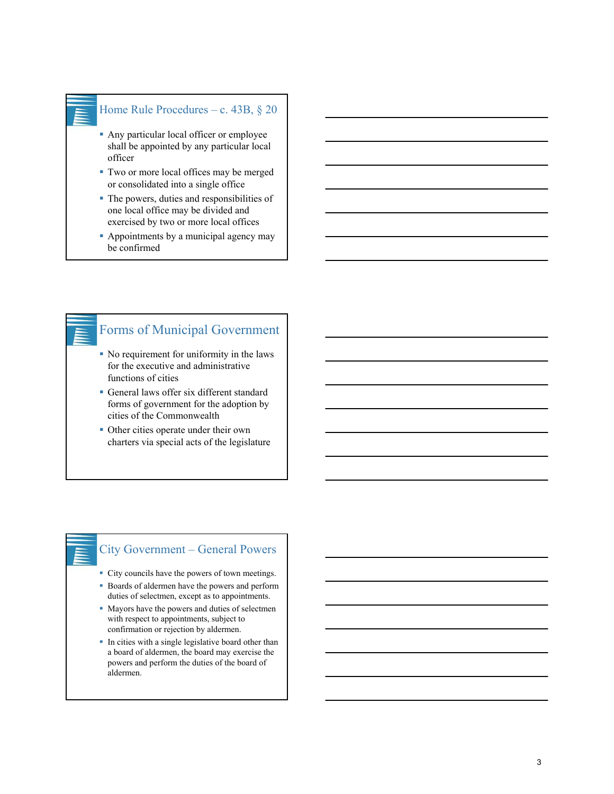#### Home Rule Procedures – c. 43B, § 20

- Any particular local officer or employee shall be appointed by any particular local officer
- Two or more local offices may be merged or consolidated into a single office
- The powers, duties and responsibilities of one local office may be divided and exercised by two or more local offices
- Appointments by a municipal agency may be confirmed

# Forms of Municipal Government

- No requirement for uniformity in the laws for the executive and administrative functions of cities
- General laws offer six different standard forms of government for the adoption by cities of the Commonwealth
- Other cities operate under their own charters via special acts of the legislature

# City Government – General Powers

- City councils have the powers of town meetings.
- Boards of aldermen have the powers and perform duties of selectmen, except as to appointments.
- Mayors have the powers and duties of selectmen with respect to appointments, subject to confirmation or rejection by aldermen.
- In cities with a single legislative board other than a board of aldermen, the board may exercise the powers and perform the duties of the board of aldermen.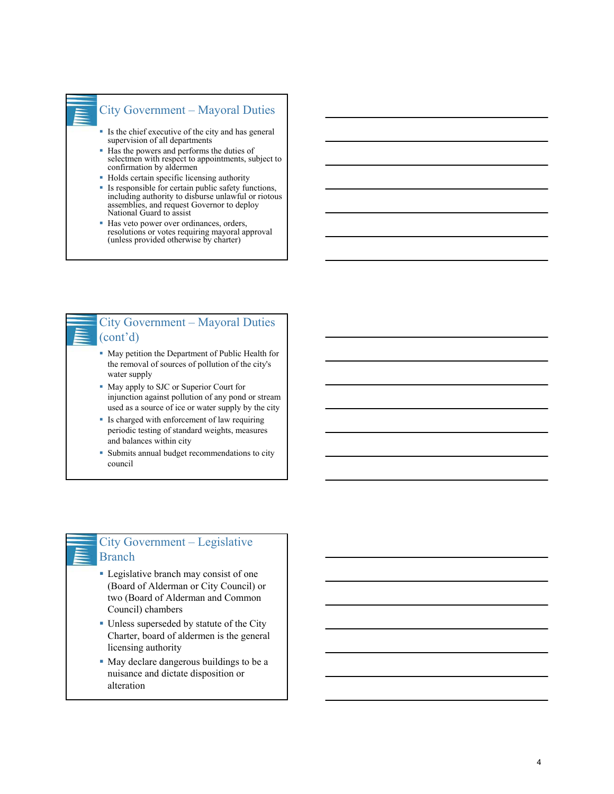

### City Government – Mayoral Duties

- If Is the chief executive of the city and has general supervision of all departments
- Has the powers and performs the duties of selectmen with respect to appointments, subject to confirmation by aldermen
- Holds certain specific licensing authority
- Is responsible for certain public safety functions, including authority to disburse unlawful or riotous assemblies, and request Governor to deploy National Guard to assist
- Has veto power over ordinances, orders, resolutions or votes requiring mayoral approval (unless provided otherwise by charter)



## City Government – Mayoral Duties (cont'd)

- May petition the Department of Public Health for the removal of sources of pollution of the city's water supply
- May apply to SJC or Superior Court for injunction against pollution of any pond or stream used as a source of ice or water supply by the city
- Is charged with enforcement of law requiring periodic testing of standard weights, measures and balances within city
- Submits annual budget recommendations to city council

### City Government – Legislative Branch

- Legislative branch may consist of one (Board of Alderman or City Council) or two (Board of Alderman and Common Council) chambers
- Unless superseded by statute of the City Charter, board of aldermen is the general licensing authority
- May declare dangerous buildings to be a nuisance and dictate disposition or alteration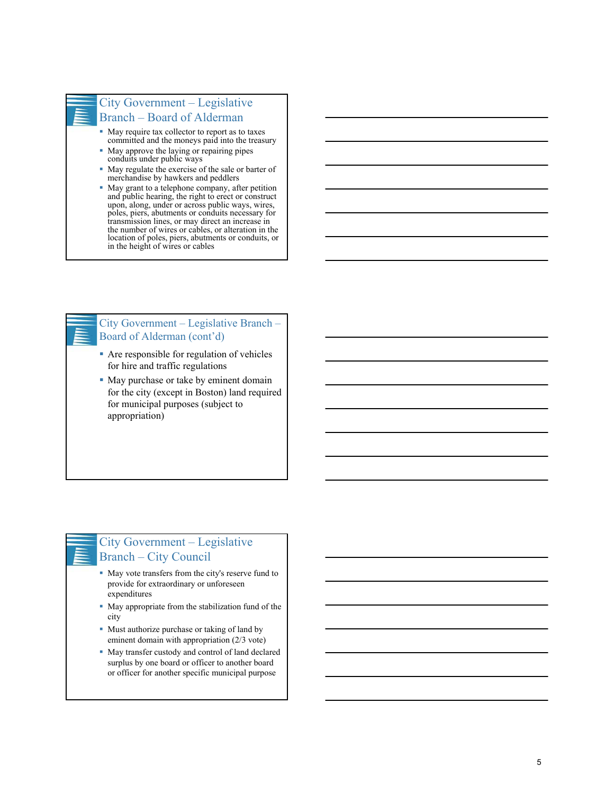## City Government – Legislative Branch – Board of Alderman

- May require tax collector to report as to taxes committed and the moneys paid into the treasury
- May approve the laying or repairing pipes conduits under public ways
- May regulate the exercise of the sale or barter of merchandise by hawkers and peddlers
- May grant to a telephone company, after petition and public hearing, the right to erect or construct upon, along, under or across public ways, wires, poles, piers, abutments or conduits necessary for transmission lines, or may direct an increase in the number of wires or cables, or alteration in the location of poles, piers, abutments or conduits, or in the height of wires or cables

### City Government – Legislative Branch – Board of Alderman (cont'd)

- Are responsible for regulation of vehicles for hire and traffic regulations
- May purchase or take by eminent domain for the city (except in Boston) land required for municipal purposes (subject to appropriation)

# City Government – Legislative Branch – City Council

- May vote transfers from the city's reserve fund to provide for extraordinary or unforeseen expenditures
- May appropriate from the stabilization fund of the city
- Must authorize purchase or taking of land by eminent domain with appropriation (2/3 vote)
- May transfer custody and control of land declared surplus by one board or officer to another board or officer for another specific municipal purpose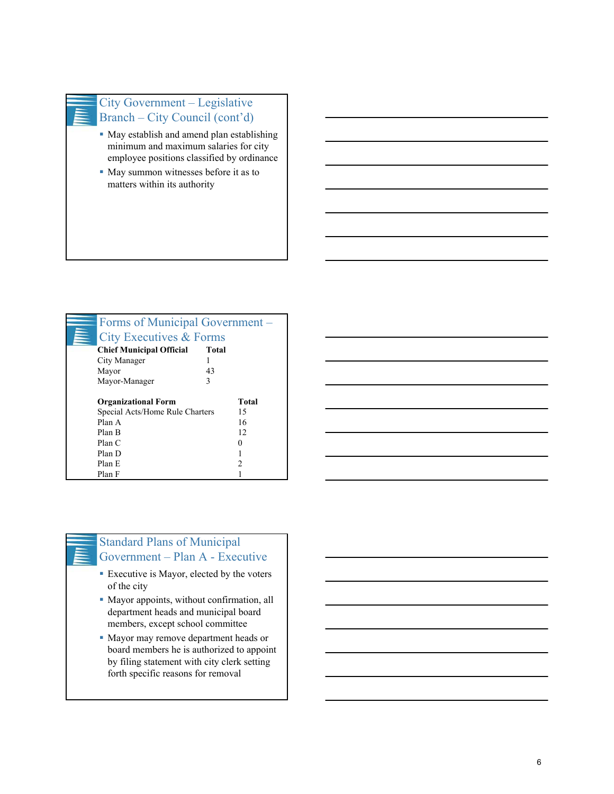

# City Government – Legislative Branch – City Council (cont'd)

- May establish and amend plan establishing minimum and maximum salaries for city employee positions classified by ordinance
- May summon witnesses before it as to matters within its authority

| Forms of Municipal Government – |              |       |
|---------------------------------|--------------|-------|
| City Executives & Forms         |              |       |
| <b>Chief Municipal Official</b> | <b>Total</b> |       |
| City Manager                    |              |       |
| Mayor                           | 43           |       |
| Mayor-Manager                   | 3            |       |
| <b>Organizational Form</b>      |              | Total |
| Special Acts/Home Rule Charters |              | 15    |
| Plan A                          |              | 16    |
| Plan B                          |              | 12    |
| Plan C                          |              |       |
| Plan D                          |              |       |
| Plan E                          |              | C     |
| Plan F                          |              |       |



# Standard Plans of Municipal Government – Plan A - Executive

- Executive is Mayor, elected by the voters of the city
- Mayor appoints, without confirmation, all department heads and municipal board members, except school committee
- Mayor may remove department heads or board members he is authorized to appoint by filing statement with city clerk setting forth specific reasons for removal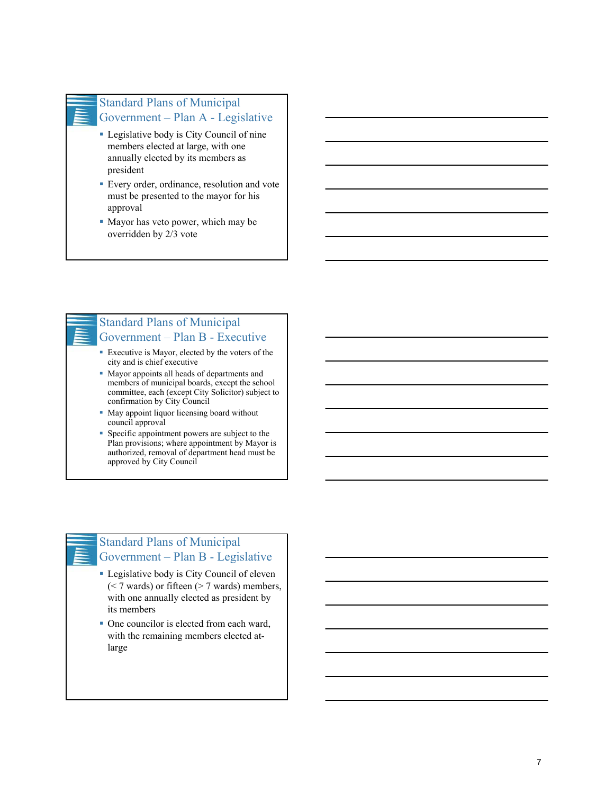### Standard Plans of Municipal Government – Plan A - Legislative

- Legislative body is City Council of nine members elected at large, with one annually elected by its members as president
- Every order, ordinance, resolution and vote must be presented to the mayor for his approval
- Mayor has veto power, which may be overridden by 2/3 vote

# Standard Plans of Municipal Government – Plan B - Executive

- Executive is Mayor, elected by the voters of the city and is chief executive
- Mayor appoints all heads of departments and members of municipal boards, except the school committee, each (except City Solicitor) subject to confirmation by City Council
- May appoint liquor licensing board without council approval
- Specific appointment powers are subject to the Plan provisions; where appointment by Mayor is authorized, removal of department head must be approved by City Council

# Standard Plans of Municipal Government – Plan B - Legislative

- Legislative body is City Council of eleven (< 7 wards) or fifteen (> 7 wards) members, with one annually elected as president by its members
- One councilor is elected from each ward, with the remaining members elected atlarge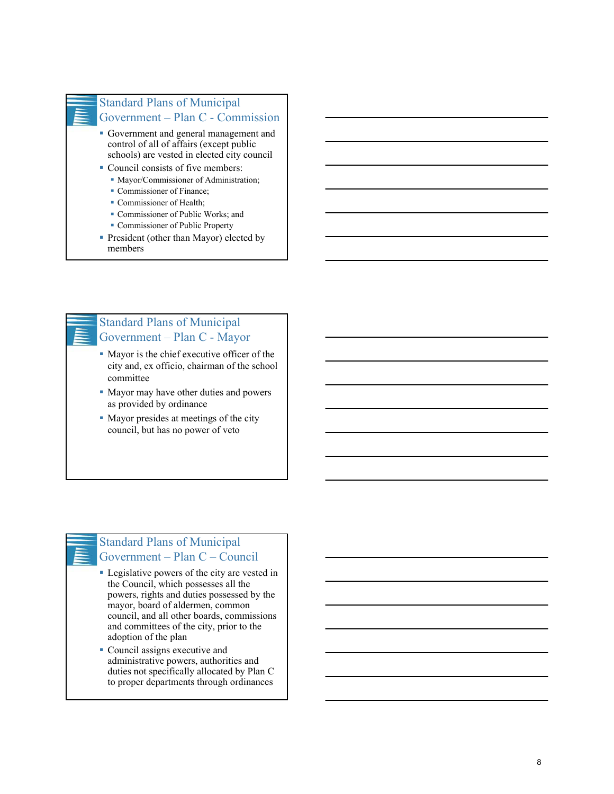

### Standard Plans of Municipal Government – Plan C - Commission

- Government and general management and control of all of affairs (except public schools) are vested in elected city council
- Council consists of five members:
	- **Mayor/Commissioner of Administration;**
	- Commissioner of Finance;
	- Commissioner of Health;
	- Commissioner of Public Works; and
	- Commissioner of Public Property
- President (other than Mayor) elected by members



# Standard Plans of Municipal Government – Plan C - Mayor

- Mayor is the chief executive officer of the city and, ex officio, chairman of the school committee
- Mayor may have other duties and powers as provided by ordinance
- Mayor presides at meetings of the city council, but has no power of veto

# Standard Plans of Municipal Government – Plan C – Council

- Legislative powers of the city are vested in the Council, which possesses all the powers, rights and duties possessed by the mayor, board of aldermen, common council, and all other boards, commissions and committees of the city, prior to the adoption of the plan
- Council assigns executive and administrative powers, authorities and duties not specifically allocated by Plan C to proper departments through ordinances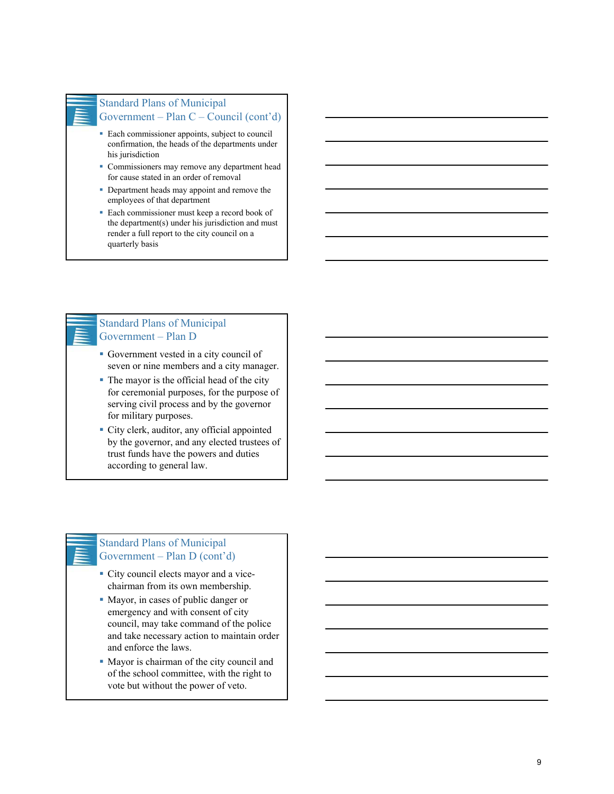#### Standard Plans of Municipal Government – Plan C – Council (cont'd)

- Each commissioner appoints, subject to council confirmation, the heads of the departments under his jurisdiction
- Commissioners may remove any department head for cause stated in an order of removal
- Department heads may appoint and remove the employees of that department
- Each commissioner must keep a record book of the department(s) under his jurisdiction and must render a full report to the city council on a quarterly basis

### Standard Plans of Municipal Government – Plan D

- Government vested in a city council of seven or nine members and a city manager.
- The mayor is the official head of the city for ceremonial purposes, for the purpose of serving civil process and by the governor for military purposes.
- City clerk, auditor, any official appointed by the governor, and any elected trustees of trust funds have the powers and duties according to general law.

### Standard Plans of Municipal Government – Plan D (cont'd)

- City council elects mayor and a vicechairman from its own membership.
- Mayor, in cases of public danger or emergency and with consent of city council, may take command of the police and take necessary action to maintain order and enforce the laws.
- Mayor is chairman of the city council and of the school committee, with the right to vote but without the power of veto.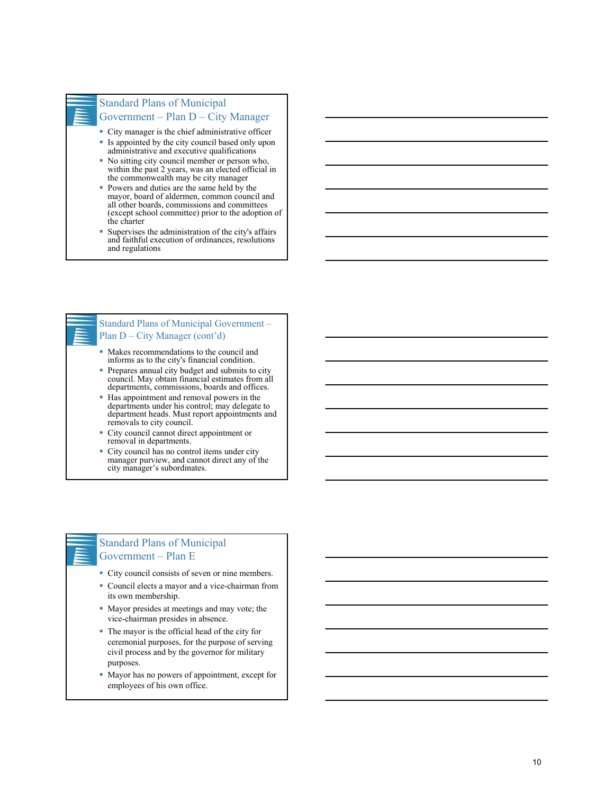

#### Standard Plans of Municipal Government – Plan D – City Manager

- City manager is the chief administrative officer
- Is appointed by the city council based only upon administrative and executive qualifications
- No sitting city council member or person who, within the past 2 years, was an elected official in the commonwealth may be city manager
- Powers and duties are the same held by the mayor, board of aldermen, common council and all other boards, commissions and committees (except school committee) prior to the adoption of the charter
- Supervises the administration of the city's affairs and faithful execution of ordinances, resolutions and regulations

### Standard Plans of Municipal Government – Plan D – City Manager (cont'd)

- Makes recommendations to the council and informs as to the city's financial condition.
- **Prepares annual city budget and submits to city** council. May obtain financial estimates from all departments, commissions, boards and offices.
- Has appointment and removal powers in the departments under his control; may delegate to department heads. Must report appointments and removals to city council.
- City council cannot direct appointment or removal in departments.
- City council has no control items under city manager purview, and cannot direct any of the city manager's subordinates.

### Standard Plans of Municipal Government – Plan E

- City council consists of seven or nine members.
- Council elects a mayor and a vice-chairman from its own membership.
- Mayor presides at meetings and may vote; the vice-chairman presides in absence.
- The mayor is the official head of the city for ceremonial purposes, for the purpose of serving civil process and by the governor for military purposes.
- Mayor has no powers of appointment, except for employees of his own office.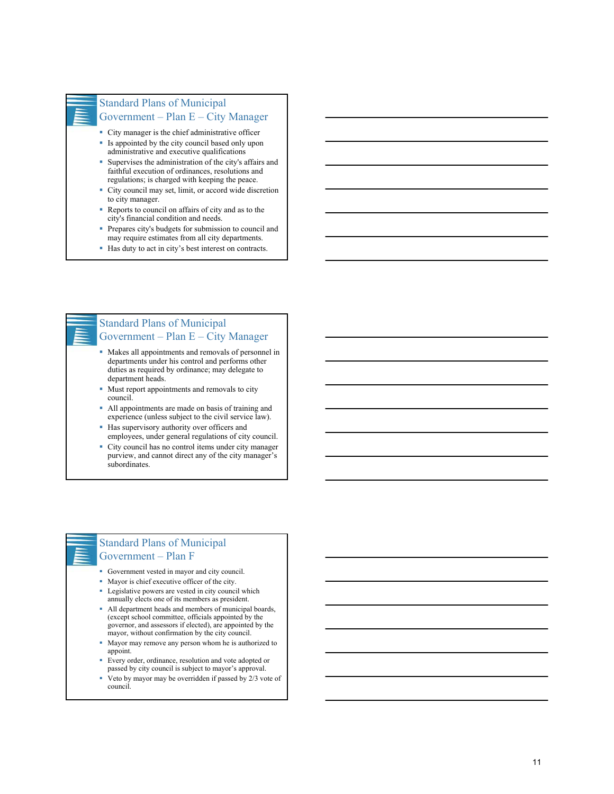#### Standard Plans of Municipal Government – Plan E – City Manager

- City manager is the chief administrative officer
- Is appointed by the city council based only upon administrative and executive qualifications
- Supervises the administration of the city's affairs and faithful execution of ordinances, resolutions and regulations; is charged with keeping the peace.
- City council may set, limit, or accord wide discretion to city manager.
- Reports to council on affairs of city and as to the city's financial condition and needs.
- Prepares city's budgets for submission to council and may require estimates from all city departments.
- Has duty to act in city's best interest on contracts.

## Standard Plans of Municipal Government – Plan E – City Manager

- Makes all appointments and removals of personnel in departments under his control and performs other duties as required by ordinance; may delegate to department heads.
- Must report appointments and removals to city council.
- All appointments are made on basis of training and experience (unless subject to the civil service law).
- Has supervisory authority over officers and employees, under general regulations of city council.
- City council has no control items under city manager purview, and cannot direct any of the city manager's subordinates.

### Standard Plans of Municipal Government – Plan F

- Government vested in mayor and city council.
- Mayor is chief executive officer of the city.
- Legislative powers are vested in city council which annually elects one of its members as president.
- All department heads and members of municipal boards, (except school committee, officials appointed by the governor, and assessors if elected), are appointed by the mayor, without confirmation by the city council.
- Mayor may remove any person whom he is authorized to appoint.
- Every order, ordinance, resolution and vote adopted or passed by city council is subject to mayor's approval.
- Veto by mayor may be overridden if passed by 2/3 vote of council.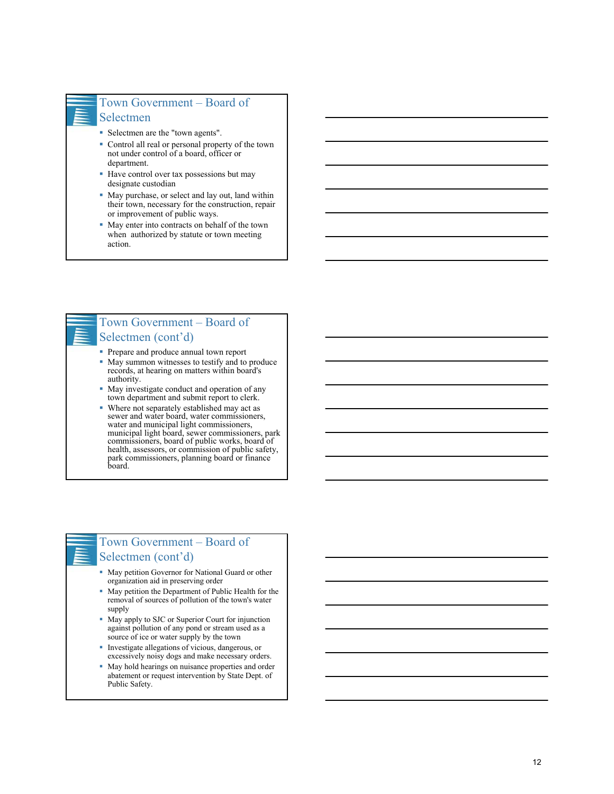

### Town Government – Board of Selectmen

- Selectmen are the "town agents".
- Control all real or personal property of the town not under control of a board, officer or department.
- Have control over tax possessions but may designate custodian
- May purchase, or select and lay out, land within their town, necessary for the construction, repair or improvement of public ways.
- May enter into contracts on behalf of the town when authorized by statute or town meeting action.



### Town Government – Board of Selectmen (cont'd)

- **Prepare and produce annual town report**
- May summon witnesses to testify and to produce records, at hearing on matters within board's authority.
- May investigate conduct and operation of any town department and submit report to clerk.
- Where not separately established may act as sewer and water board, water commissioners, water and municipal light commissioners, municipal light board, sewer commissioners, park commissioners, board of public works, board of health, assessors, or commission of public safety, park commissioners, planning board or finance board.



# Town Government – Board of Selectmen (cont'd)

- May petition Governor for National Guard or other organization aid in preserving order
- May petition the Department of Public Health for the removal of sources of pollution of the town's water supply
- May apply to SJC or Superior Court for injunction against pollution of any pond or stream used as a source of ice or water supply by the town
- Investigate allegations of vicious, dangerous, or excessively noisy dogs and make necessary orders.
- May hold hearings on nuisance properties and order abatement or request intervention by State Dept. of Public Safety.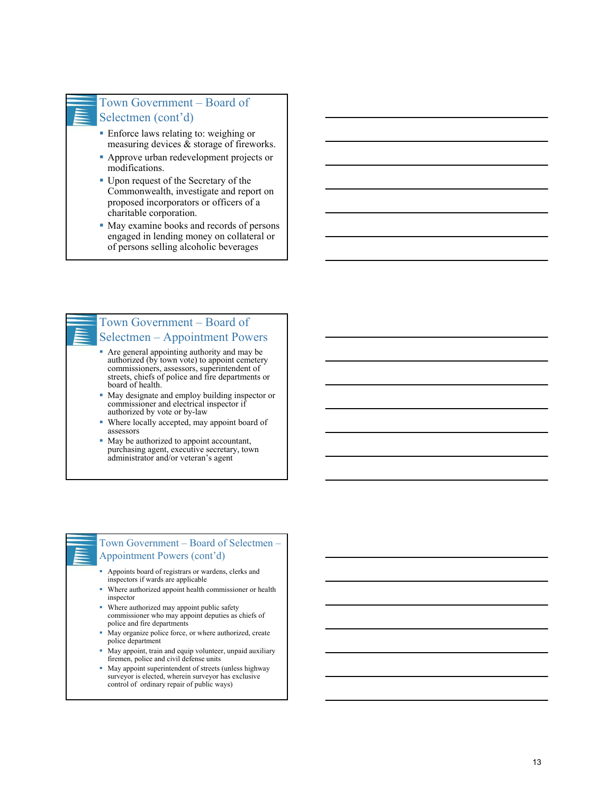# Town Government – Board of Selectmen (cont'd)

- Enforce laws relating to: weighing or measuring devices & storage of fireworks.
- Approve urban redevelopment projects or modifications.
- Upon request of the Secretary of the Commonwealth, investigate and report on proposed incorporators or officers of a charitable corporation.
- May examine books and records of persons engaged in lending money on collateral or of persons selling alcoholic beverages



# Selectmen – Appointment Powers

- Are general appointing authority and may be authorized (by town vote) to appoint cemetery commissioners, assessors, superintendent of streets, chiefs of police and fire departments or board of health.
- May designate and employ building inspector or commissioner and electrical inspector if authorized by vote or by-law
- Where locally accepted, may appoint board of assessors
- May be authorized to appoint accountant, purchasing agent, executive secretary, town administrator and/or veteran's agent

#### Town Government – Board of Selectmen – Appointment Powers (cont'd)

- Appoints board of registrars or wardens, clerks and inspectors if wards are applicable
- Where authorized appoint health commissioner or health inspector
- Where authorized may appoint public safety commissioner who may appoint deputies as chiefs of police and fire departments
- May organize police force, or where authorized, create police department
- May appoint, train and equip volunteer, unpaid auxiliary firemen, police and civil defense units
- May appoint superintendent of streets (unless highway surveyor is elected, wherein surveyor has exclusive control of ordinary repair of public ways)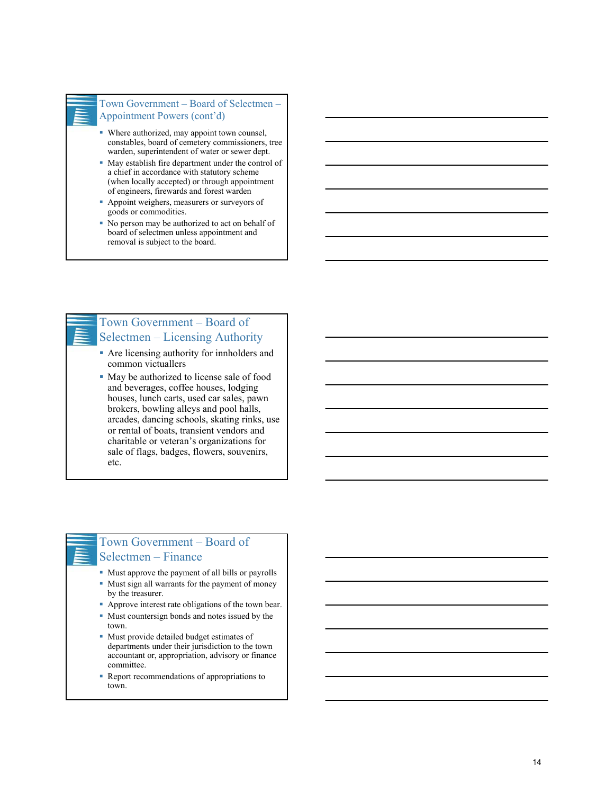#### Town Government – Board of Selectmen – Appointment Powers (cont'd)

- Where authorized, may appoint town counsel, constables, board of cemetery commissioners, tree warden, superintendent of water or sewer dept.
- May establish fire department under the control of a chief in accordance with statutory scheme (when locally accepted) or through appointment of engineers, firewards and forest warden
- **Appoint weighers, measurers or surveyors of** goods or commodities.
- No person may be authorized to act on behalf of board of selectmen unless appointment and removal is subject to the board.

# Town Government – Board of Selectmen – Licensing Authority

- Are licensing authority for innholders and common victuallers
- May be authorized to license sale of food and beverages, coffee houses, lodging houses, lunch carts, used car sales, pawn brokers, bowling alleys and pool halls, arcades, dancing schools, skating rinks, use or rental of boats, transient vendors and charitable or veteran's organizations for sale of flags, badges, flowers, souvenirs, etc.

# Town Government – Board of Selectmen – Finance

- Must approve the payment of all bills or payrolls
- Must sign all warrants for the payment of money by the treasurer.
- Approve interest rate obligations of the town bear.
- Must countersign bonds and notes issued by the town.
- Must provide detailed budget estimates of departments under their jurisdiction to the town accountant or, appropriation, advisory or finance committee.
- Report recommendations of appropriations to town.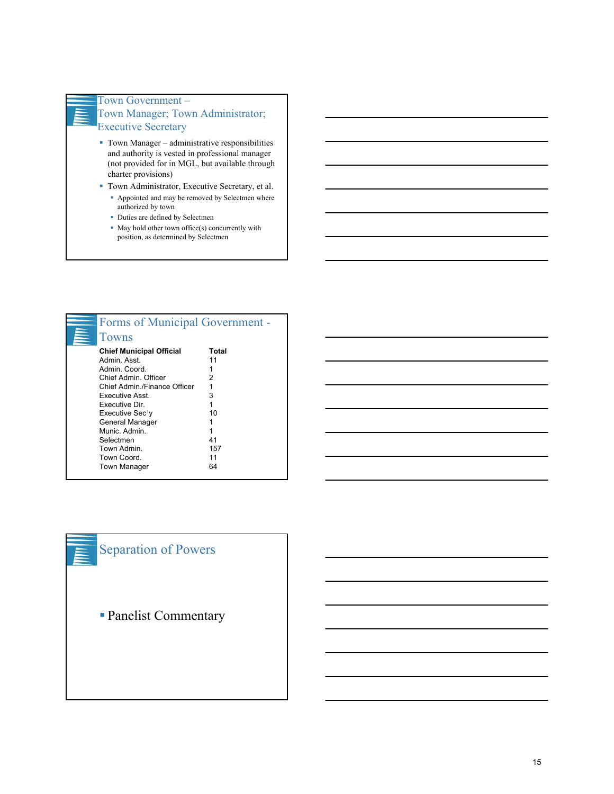

### Town Government – Town Manager; Town Administrator; Executive Secretary

- Town Manager administrative responsibilities and authority is vested in professional manager (not provided for in MGL, but available through charter provisions)
- Town Administrator, Executive Secretary, et al. Appointed and may be removed by Selectmen where authorized by town
	- Duties are defined by Selectmen
	- May hold other town office(s) concurrently with position, as determined by Selectmen

| Forms of Municipal Government - |       |
|---------------------------------|-------|
| Towns                           |       |
| <b>Chief Municipal Official</b> | Total |
| Admin, Asst.                    | 11    |
| Admin, Coord.                   |       |
| Chief Admin, Officer            | 2     |
| Chief Admin / Finance Officer   | 1     |
| Executive Asst.                 | 3     |
| <b>Executive Dir</b>            | 1     |
| Executive Sec'y                 | 10    |
| General Manager                 |       |
| Munic, Admin.                   |       |
| Selectmen                       | 41    |
| Town Admin.                     | 157   |
| Town Coord.                     | 11    |
| <b>Town Manager</b>             | 64    |
|                                 |       |

# Separation of Powers

Panelist Commentary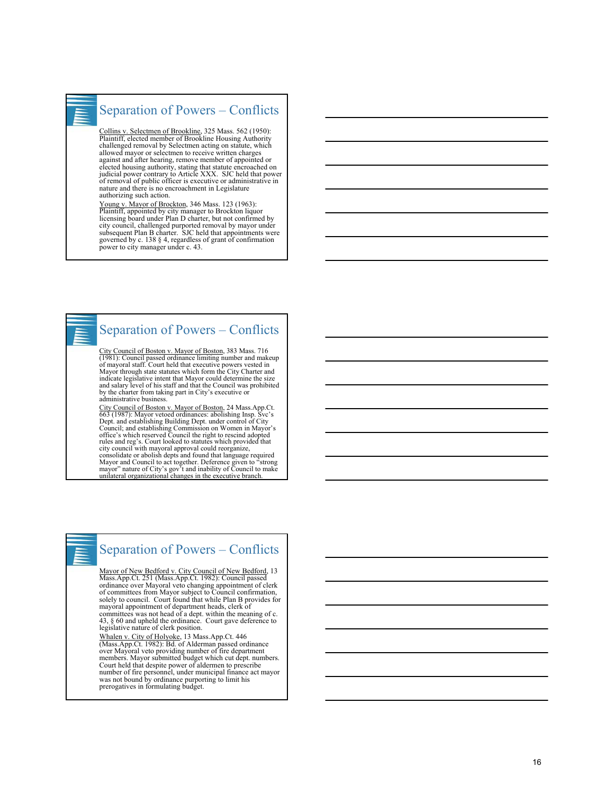

# Separation of Powers – Conflicts

Collins v. Selectmen of Brookline, 325 Mass. 562 (1950):<br>Plaintiff, elected member of Brookline Housing Authority<br>challenged removal by Selectmen acting on statute, which<br>allowed mayor or selectmen to receive written charg against and after hearing, remove member of appointed or elected housing authority, stating that statute encroached on judicial power contrary to Article XXX. SJC held that power of removal of public officer is executive or administrative in nature and there is no encroachment in Legislature authorizing such action.

Young v. Mayor of Brockton, 346 Mass. 123 (1963):<br>Plaintiff, appointed by city manager to Brockton liquor<br>licensing board under Plan D charter, but not confirmed by<br>city council, challenged purported removal by mayor under power to city manager under c. 43.



# Separation of Powers – Conflicts

City Council of Boston v. Mayor of Boston, 383 Mass. 716 (1981): Council passed ordinance limiting number and makeup of mayoral staff. Court held that executive powers vested in Mayor through state statutes which form the City Charter and indicate legislative intent that Mayor could determine the size and salary level of his staff and that the Council was prohibited by the charter from taking part in City's executive or administrative business.

City Council of Boston v. Mayor of Boston, 24 Mass.App.Ct. 663 (1987): Mayor vetoed ordinances: abolishing Insp. Svc's Dept. and establishing Building Dept. under control of City Council; and establishing Commission on Women in Mayor's office's which reserved Council the right to rescind adopted rules and reg's. Court looked to statutes which provided that city council with mayoral approval could reorganize, consolidate or abolish depts and found that language required Mayor and Council to act together. Deference given to "strong mayor" nature of City's gov't and inability of Council to make unilateral organizational changes in the executive branch.



# Separation of Powers – Conflicts

<u>Mayor of New Bedford v. City Council of New Bedford,</u> 13<br>Mass.App.Ct. 251 (Mass.App.Ct. 1982): Council passed<br>ordinance over Mayoral veto changing appointment of clerk<br>of committees from Mayor subject to Council confirmat solely to council. Court found that while Plan B provides for mayoral appointment of department heads, clerk of committees was not head of a dept. within the meaning of c. 43, § 60 and upheld the ordinance. Court gave deference to legislative nature of clerk position.

Whalen v. City of Holyoke, 13 Mass.App.Ct. 446<br>(Mass.App.Ct. 1982): Bd. of Alderman passed ordinance<br>over Mayoral veto providing number of fire department<br>members. Mayor submitted budget which cut dept. numbers.<br>Court held was not bound by ordinance purporting to limit his prerogatives in formulating budget.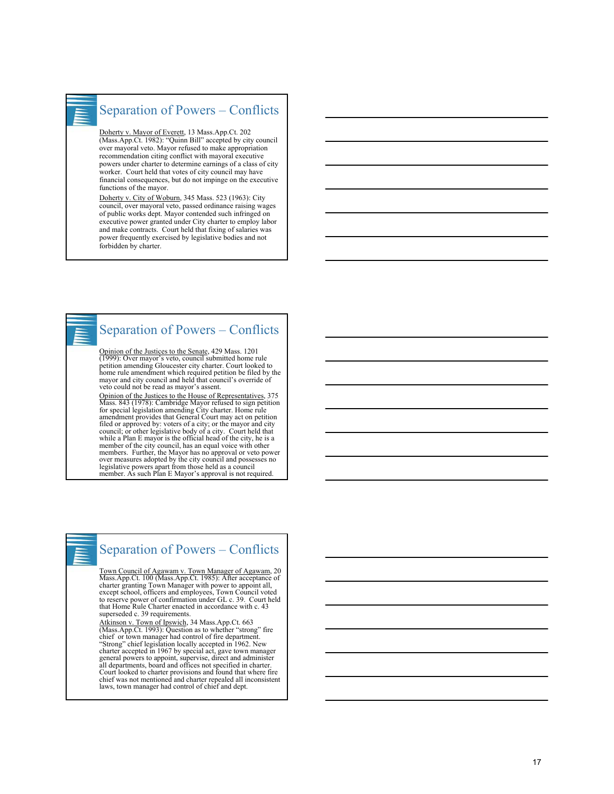

# Separation of Powers – Conflicts

Doherty v. Mayor of Everett, 13 Mass.App.Ct. 202 (Mass.App.Ct. 1982): "Quinn Bill" accepted by city council over mayoral veto. Mayor refused to make appropriation recommendation citing conflict with mayoral executive powers under charter to determine earnings of a class of city worker. Court held that votes of city council may have financial consequences, but do not impinge on the executive functions of the mayor.

Doherty v. City of Woburn, 345 Mass. 523 (1963): City council, over mayoral veto, passed ordinance raising wages of public works dept. Mayor contended such infringed on executive power granted under City charter to employ labor and make contracts. Court held that fixing of salaries was power frequently exercised by legislative bodies and not forbidden by charter.

# Separation of Powers – Conflicts

Opinion of the Justices to the Senate, 429 Mass. 1201 (1999): Over mayor's veto, council submitted home rule petition amending Gloucester city charter. Court looked to home rule amendment which required petition be filed by the mayor and city council and held that council's override of veto could not be read as mayor's assent.

Opinion of the Justices to the House of Representatives, 375 Mass. 843 (1978): Cambridge Mayor refused to sign petition for special legislation amending City charter. Home rule amendment provides that General Court may act on petition filed or approved by: voters of a city; or the mayor and city council; or other legislative body of a city. Court held that while a Plan E mayor is the official head of the city, he is a member of the city council, has an equal voice with other members. Further, the Mayor has no approval or veto power over measures adopted by the city council and possesses no legislative powers apart from those held as a council member. As such Plan E Mayor's approval is not required.

# Separation of Powers – Conflicts

Town Council of Agawam v. Town Manager of Agawam, 20<br>Mass.App.Ct. 100 (Mass.App.Ct. 1985): After acceptance of<br>charter granting Town Manager with power to appoint all,<br>except school, officers and employees, Town Council vo to reserve power of confirmation under GL c. 39. Court held that Home Rule Charter enacted in accordance with c. 43 superseded c. 39 requirements.

Atkinson v. Town of Ipswich, 34 Mass.App.Ct. 663 (Mass.App.Ct. 1993): Question as to whether "strong" fire chief or town manager had control of fire department. "Strong" chief legislation locally accepted in 1962. New charter accepted in 1967 by special act, gave town manager general powers to appoint, supervise, direct and administer<br>all departments, board and offices not specified in charter.<br>Court looked to charter provisions and found that where fire<br>chief was not mentioned and charter repe